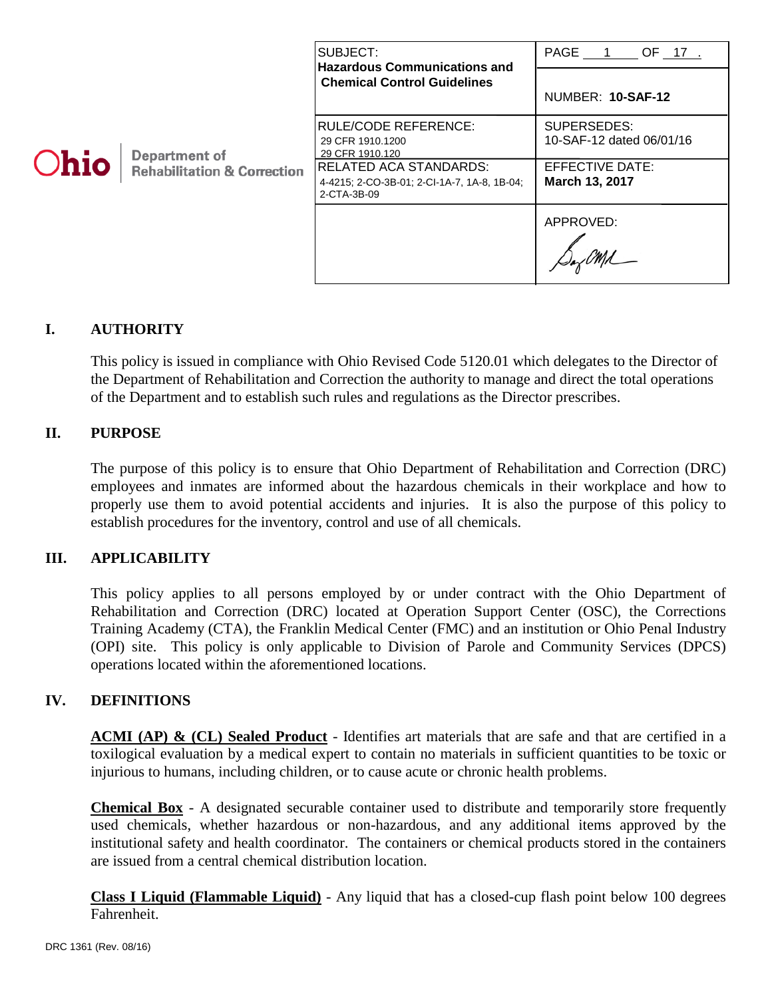| Department of<br>Ohio<br><b>Rehabilitation &amp; Correction</b> | SUBJECT:<br><b>Hazardous Communications and</b><br><b>Chemical Control Guidelines</b>       | PAGE 1<br>$OF_17$                       |
|-----------------------------------------------------------------|---------------------------------------------------------------------------------------------|-----------------------------------------|
|                                                                 |                                                                                             | NUMBER: 10-SAF-12                       |
|                                                                 | <b>RULE/CODE REFERENCE:</b><br>29 CFR 1910.1200<br>29 CFR 1910.120                          | SUPERSEDES:<br>10-SAF-12 dated 06/01/16 |
|                                                                 | <b>RELATED ACA STANDARDS:</b><br>4-4215; 2-CO-3B-01; 2-CI-1A-7, 1A-8, 1B-04;<br>2-CTA-3B-09 | EFFECTIVE DATE:<br>March 13, 2017       |
|                                                                 |                                                                                             | APPROVED:                               |

# **I. AUTHORITY**

This policy is issued in compliance with Ohio Revised Code 5120.01 which delegates to the Director of the Department of Rehabilitation and Correction the authority to manage and direct the total operations of the Department and to establish such rules and regulations as the Director prescribes.

# **II. PURPOSE**

The purpose of this policy is to ensure that Ohio Department of Rehabilitation and Correction (DRC) employees and inmates are informed about the hazardous chemicals in their workplace and how to properly use them to avoid potential accidents and injuries. It is also the purpose of this policy to establish procedures for the inventory, control and use of all chemicals.

# **III. APPLICABILITY**

This policy applies to all persons employed by or under contract with the Ohio Department of Rehabilitation and Correction (DRC) located at Operation Support Center (OSC), the Corrections Training Academy (CTA), the Franklin Medical Center (FMC) and an institution or Ohio Penal Industry (OPI) site. This policy is only applicable to Division of Parole and Community Services (DPCS) operations located within the aforementioned locations.

# **IV. DEFINITIONS**

**ACMI (AP) & (CL) Sealed Product** - Identifies art materials that are safe and that are certified in a toxilogical evaluation by a medical expert to contain no materials in sufficient quantities to be toxic or injurious to humans, including children, or to cause acute or chronic health problems.

**Chemical Box** - A designated securable container used to distribute and temporarily store frequently used chemicals, whether hazardous or non-hazardous, and any additional items approved by the institutional safety and health coordinator. The containers or chemical products stored in the containers are issued from a central chemical distribution location.

**Class I Liquid (Flammable Liquid)** - Any liquid that has a closed-cup flash point below 100 degrees Fahrenheit.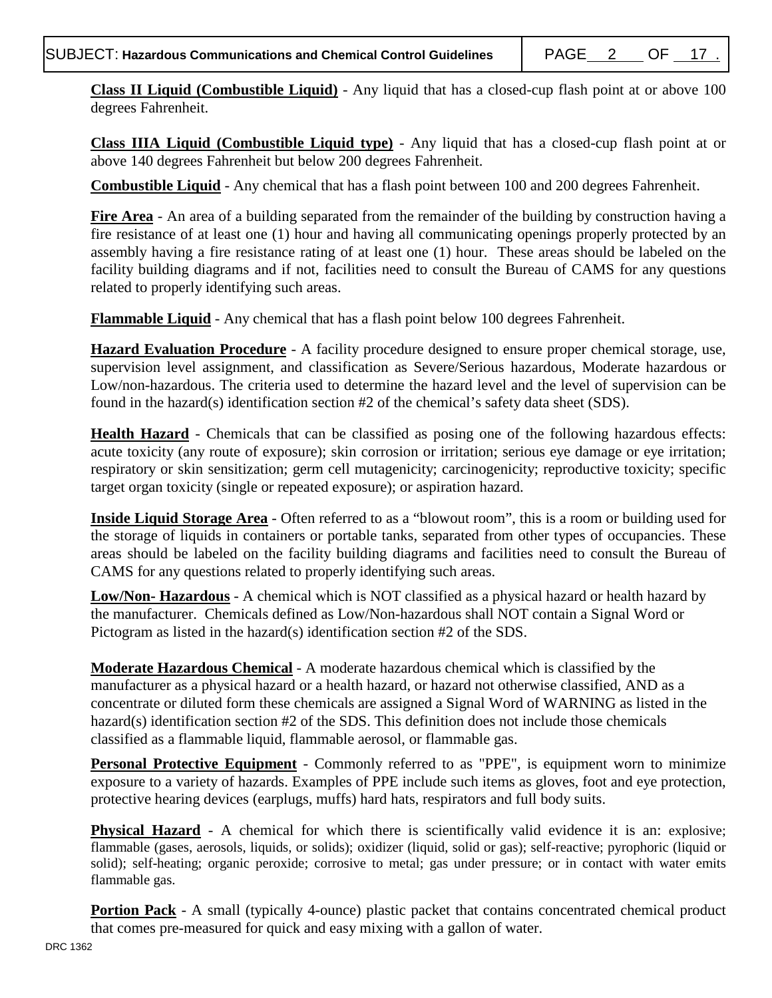**Class II Liquid (Combustible Liquid)** - Any liquid that has a closed-cup flash point at or above 100 degrees Fahrenheit.

**Class IIIA Liquid (Combustible Liquid type)** - Any liquid that has a closed-cup flash point at or above 140 degrees Fahrenheit but below 200 degrees Fahrenheit.

**Combustible Liquid** - Any chemical that has a flash point between 100 and 200 degrees Fahrenheit.

**Fire Area** - An area of a building separated from the remainder of the building by construction having a fire resistance of at least one (1) hour and having all communicating openings properly protected by an assembly having a fire resistance rating of at least one (1) hour. These areas should be labeled on the facility building diagrams and if not, facilities need to consult the Bureau of CAMS for any questions related to properly identifying such areas.

**Flammable Liquid** - Any chemical that has a flash point below 100 degrees Fahrenheit.

**Hazard Evaluation Procedure** - A facility procedure designed to ensure proper chemical storage, use, supervision level assignment, and classification as Severe/Serious hazardous, Moderate hazardous or Low/non-hazardous. The criteria used to determine the hazard level and the level of supervision can be found in the hazard(s) identification section #2 of the chemical's safety data sheet (SDS).

**Health Hazard** - Chemicals that can be classified as posing one of the following hazardous effects: acute toxicity (any route of exposure); skin corrosion or irritation; serious eye damage or eye irritation; respiratory or skin sensitization; germ cell mutagenicity; carcinogenicity; reproductive toxicity; specific target organ toxicity (single or repeated exposure); or aspiration hazard.

**Inside Liquid Storage Area** - Often referred to as a "blowout room", this is a room or building used for the storage of liquids in containers or portable tanks, separated from other types of occupancies. These areas should be labeled on the facility building diagrams and facilities need to consult the Bureau of CAMS for any questions related to properly identifying such areas.

**Low/Non- Hazardous** - A chemical which is NOT classified as a physical hazard or health hazard by the manufacturer. Chemicals defined as Low/Non-hazardous shall NOT contain a Signal Word or Pictogram as listed in the hazard(s) identification section #2 of the SDS.

**Moderate Hazardous Chemical** - A moderate hazardous chemical which is classified by the manufacturer as a physical hazard or a health hazard, or hazard not otherwise classified, AND as a concentrate or diluted form these chemicals are assigned a Signal Word of WARNING as listed in the hazard(s) identification section #2 of the SDS. This definition does not include those chemicals classified as a flammable liquid, flammable aerosol, or flammable gas.

**Personal Protective Equipment** - Commonly referred to as "PPE", is equipment worn to minimize exposure to a variety of hazards. Examples of PPE include such items as gloves, foot and eye protection, protective hearing devices (earplugs, muffs) hard hats, respirators and full body suits.

**Physical Hazard** - A chemical for which there is scientifically valid evidence it is an: explosive; flammable (gases, aerosols, liquids, or solids); oxidizer (liquid, solid or gas); self-reactive; pyrophoric (liquid or solid); self-heating; organic peroxide; corrosive to metal; gas under pressure; or in contact with water emits flammable gas.

**Portion Pack** - A small (typically 4-ounce) plastic packet that contains concentrated chemical product that comes pre-measured for quick and easy mixing with a gallon of water.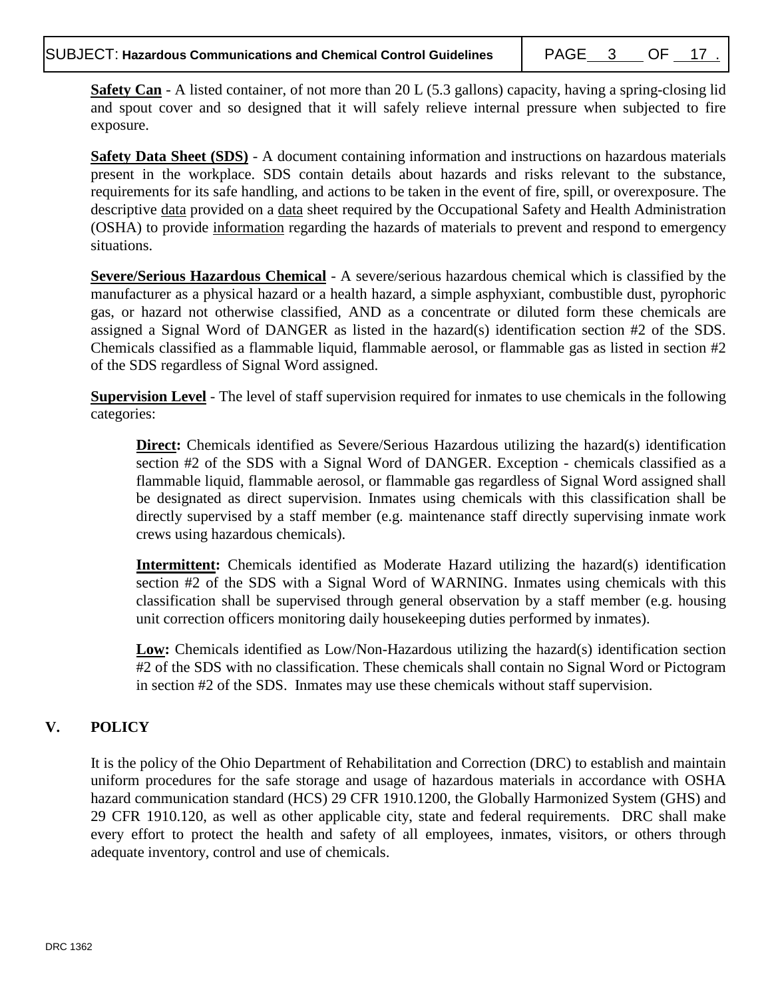**Safety Can** - A listed container, of not more than 20 L (5.3 gallons) capacity, having a spring-closing lid and spout cover and so designed that it will safely relieve internal pressure when subjected to fire exposure.

**Safety Data Sheet (SDS)** - A document containing information and instructions on hazardous materials present in the workplace. SDS contain details about hazards and risks relevant to the substance, requirements for its safe handling, and actions to be taken in the event of fire, spill, or overexposure. The descriptive [data](http://www.chemicool.com/definition/data.html) provided on a [data](http://www.chemicool.com/definition/data.html) sheet required by the Occupational Safety and Health Administration (OSHA) to provide [information](http://www.chemicool.com/definition/information.html) regarding the hazards of materials to prevent and respond to emergency situations.

**Severe/Serious Hazardous Chemical** - A severe/serious hazardous chemical which is classified by the manufacturer as a physical hazard or a health hazard, a simple asphyxiant, combustible dust, pyrophoric gas, or hazard not otherwise classified, AND as a concentrate or diluted form these chemicals are assigned a Signal Word of DANGER as listed in the hazard(s) identification section #2 of the SDS. Chemicals classified as a flammable liquid, flammable aerosol, or flammable gas as listed in section #2 of the SDS regardless of Signal Word assigned.

**Supervision Level** - The level of staff supervision required for inmates to use chemicals in the following categories:

**Direct:** Chemicals identified as Severe/Serious Hazardous utilizing the hazard(s) identification section #2 of the SDS with a Signal Word of DANGER. Exception - chemicals classified as a flammable liquid, flammable aerosol, or flammable gas regardless of Signal Word assigned shall be designated as direct supervision. Inmates using chemicals with this classification shall be directly supervised by a staff member (e.g. maintenance staff directly supervising inmate work crews using hazardous chemicals).

**Intermittent:** Chemicals identified as Moderate Hazard utilizing the hazard(s) identification section #2 of the SDS with a Signal Word of WARNING. Inmates using chemicals with this classification shall be supervised through general observation by a staff member (e.g. housing unit correction officers monitoring daily housekeeping duties performed by inmates).

Low: Chemicals identified as Low/Non-Hazardous utilizing the hazard(s) identification section #2 of the SDS with no classification. These chemicals shall contain no Signal Word or Pictogram in section #2 of the SDS. Inmates may use these chemicals without staff supervision.

# **V. POLICY**

It is the policy of the Ohio Department of Rehabilitation and Correction (DRC) to establish and maintain uniform procedures for the safe storage and usage of hazardous materials in accordance with OSHA hazard communication standard (HCS) 29 CFR 1910.1200, the Globally Harmonized System (GHS) and 29 CFR 1910.120, as well as other applicable city, state and federal requirements. DRC shall make every effort to protect the health and safety of all employees, inmates, visitors, or others through adequate inventory, control and use of chemicals.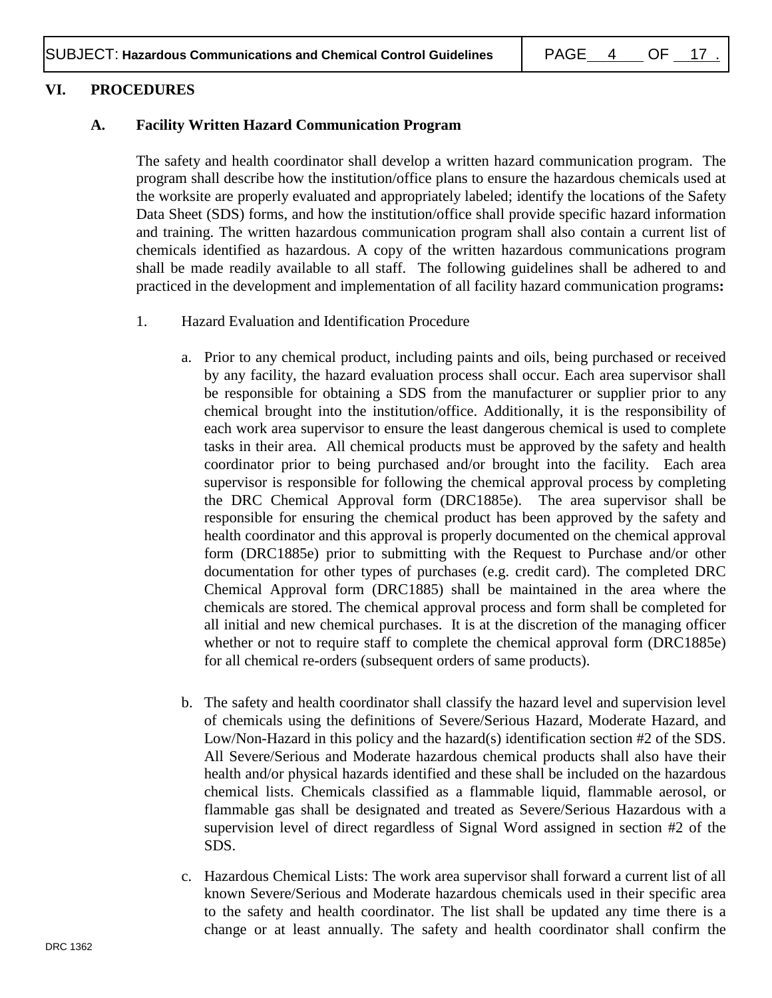#### **VI. PROCEDURES**

#### **A. Facility Written Hazard Communication Program**

The safety and health coordinator shall develop a written hazard communication program. The program shall describe how the institution/office plans to ensure the hazardous chemicals used at the worksite are properly evaluated and appropriately labeled; identify the locations of the Safety Data Sheet (SDS) forms, and how the institution/office shall provide specific hazard information and training. The written hazardous communication program shall also contain a current list of chemicals identified as hazardous. A copy of the written hazardous communications program shall be made readily available to all staff. The following guidelines shall be adhered to and practiced in the development and implementation of all facility hazard communication programs**:**

- 1. Hazard Evaluation and Identification Procedure
	- a. Prior to any chemical product, including paints and oils, being purchased or received by any facility, the hazard evaluation process shall occur. Each area supervisor shall be responsible for obtaining a SDS from the manufacturer or supplier prior to any chemical brought into the institution/office. Additionally, it is the responsibility of each work area supervisor to ensure the least dangerous chemical is used to complete tasks in their area. All chemical products must be approved by the safety and health coordinator prior to being purchased and/or brought into the facility. Each area supervisor is responsible for following the chemical approval process by completing the DRC Chemical Approval form (DRC1885e). The area supervisor shall be responsible for ensuring the chemical product has been approved by the safety and health coordinator and this approval is properly documented on the chemical approval form (DRC1885e) prior to submitting with the Request to Purchase and/or other documentation for other types of purchases (e.g. credit card). The completed DRC Chemical Approval form (DRC1885) shall be maintained in the area where the chemicals are stored. The chemical approval process and form shall be completed for all initial and new chemical purchases. It is at the discretion of the managing officer whether or not to require staff to complete the chemical approval form (DRC1885e) for all chemical re-orders (subsequent orders of same products).
	- b. The safety and health coordinator shall classify the hazard level and supervision level of chemicals using the definitions of Severe/Serious Hazard, Moderate Hazard, and Low/Non-Hazard in this policy and the hazard(s) identification section #2 of the SDS. All Severe/Serious and Moderate hazardous chemical products shall also have their health and/or physical hazards identified and these shall be included on the hazardous chemical lists. Chemicals classified as a flammable liquid, flammable aerosol, or flammable gas shall be designated and treated as Severe/Serious Hazardous with a supervision level of direct regardless of Signal Word assigned in section #2 of the SDS.
	- c. Hazardous Chemical Lists: The work area supervisor shall forward a current list of all known Severe/Serious and Moderate hazardous chemicals used in their specific area to the safety and health coordinator. The list shall be updated any time there is a change or at least annually. The safety and health coordinator shall confirm the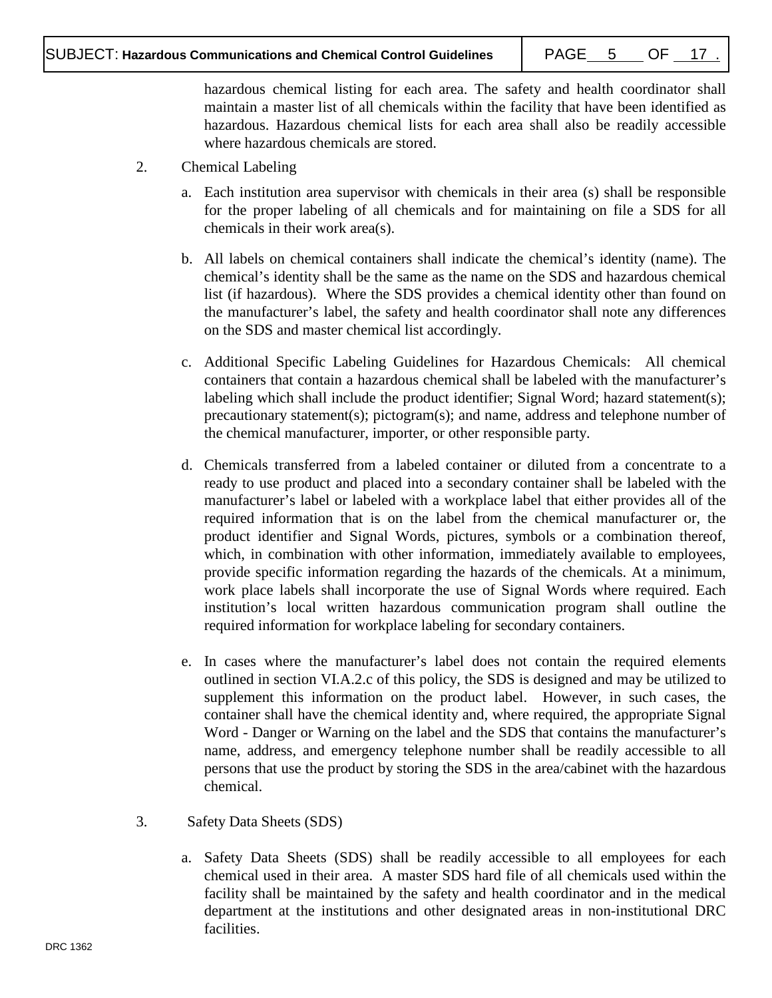hazardous chemical listing for each area. The safety and health coordinator shall maintain a master list of all chemicals within the facility that have been identified as hazardous. Hazardous chemical lists for each area shall also be readily accessible where hazardous chemicals are stored.

- 2. Chemical Labeling
	- a. Each institution area supervisor with chemicals in their area (s) shall be responsible for the proper labeling of all chemicals and for maintaining on file a SDS for all chemicals in their work area(s).
	- b. All labels on chemical containers shall indicate the chemical's identity (name). The chemical's identity shall be the same as the name on the SDS and hazardous chemical list (if hazardous). Where the SDS provides a chemical identity other than found on the manufacturer's label, the safety and health coordinator shall note any differences on the SDS and master chemical list accordingly.
	- c. Additional Specific Labeling Guidelines for Hazardous Chemicals: All chemical containers that contain a hazardous chemical shall be labeled with the manufacturer's labeling which shall include the product identifier; Signal Word; hazard statement(s); precautionary statement(s); pictogram(s); and name, address and telephone number of the chemical manufacturer, importer, or other responsible party.
	- d. Chemicals transferred from a labeled container or diluted from a concentrate to a ready to use product and placed into a secondary container shall be labeled with the manufacturer's label or labeled with a workplace label that either provides all of the required information that is on the label from the chemical manufacturer or, the product identifier and Signal Words, pictures, symbols or a combination thereof, which, in combination with other information, immediately available to employees, provide specific information regarding the hazards of the chemicals. At a minimum, work place labels shall incorporate the use of Signal Words where required. Each institution's local written hazardous communication program shall outline the required information for workplace labeling for secondary containers.
	- e. In cases where the manufacturer's label does not contain the required elements outlined in section VI.A.2.c of this policy, the SDS is designed and may be utilized to supplement this information on the product label. However, in such cases, the container shall have the chemical identity and, where required, the appropriate Signal Word - Danger or Warning on the label and the SDS that contains the manufacturer's name, address, and emergency telephone number shall be readily accessible to all persons that use the product by storing the SDS in the area/cabinet with the hazardous chemical.
- 3. Safety Data Sheets (SDS)
	- a. Safety Data Sheets (SDS) shall be readily accessible to all employees for each chemical used in their area. A master SDS hard file of all chemicals used within the facility shall be maintained by the safety and health coordinator and in the medical department at the institutions and other designated areas in non-institutional DRC facilities.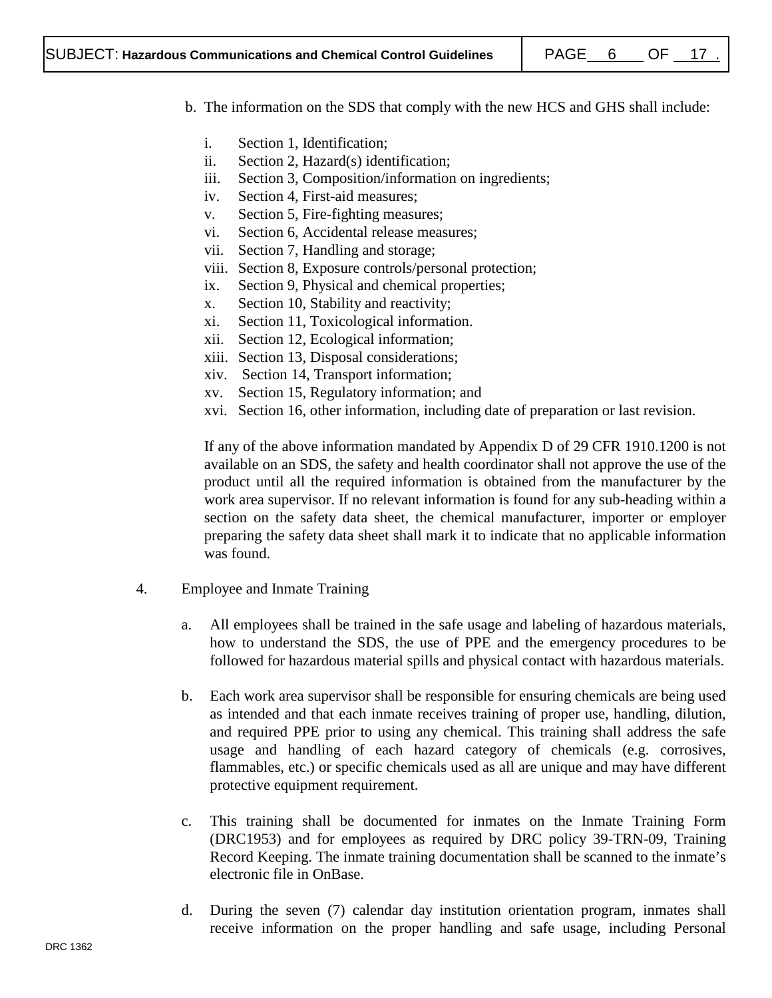- b. The information on the SDS that comply with the new HCS and GHS shall include:
	- i. Section 1, Identification;
	- ii. Section 2, Hazard(s) identification;
	- iii. Section 3, Composition/information on ingredients;
	- iv. Section 4, First-aid measures;
	- v. Section 5, Fire-fighting measures;
	- vi. Section 6, Accidental release measures;
	- vii. Section 7, Handling and storage;
	- viii. Section 8, Exposure controls/personal protection;
	- ix. Section 9, Physical and chemical properties;
	- x. Section 10, Stability and reactivity;
	- xi. Section 11, Toxicological information.
	- xii. Section 12, Ecological information;
	- xiii. Section 13, Disposal considerations;
	- xiv. Section 14, Transport information;
	- xv. Section 15, Regulatory information; and
	- xvi. Section 16, other information, including date of preparation or last revision.

If any of the above information mandated by Appendix D of 29 CFR 1910.1200 is not available on an SDS, the safety and health coordinator shall not approve the use of the product until all the required information is obtained from the manufacturer by the work area supervisor. If no relevant information is found for any sub-heading within a section on the safety data sheet, the chemical manufacturer, importer or employer preparing the safety data sheet shall mark it to indicate that no applicable information was found.

- 4. Employee and Inmate Training
	- a. All employees shall be trained in the safe usage and labeling of hazardous materials, how to understand the SDS, the use of PPE and the emergency procedures to be followed for hazardous material spills and physical contact with hazardous materials.
	- b. Each work area supervisor shall be responsible for ensuring chemicals are being used as intended and that each inmate receives training of proper use, handling, dilution, and required PPE prior to using any chemical. This training shall address the safe usage and handling of each hazard category of chemicals (e.g. corrosives, flammables, etc.) or specific chemicals used as all are unique and may have different protective equipment requirement.
	- c. This training shall be documented for inmates on the Inmate Training Form (DRC1953) and for employees as required by DRC policy 39-TRN-09, Training Record Keeping. The inmate training documentation shall be scanned to the inmate's electronic file in OnBase.
	- d. During the seven (7) calendar day institution orientation program, inmates shall receive information on the proper handling and safe usage, including Personal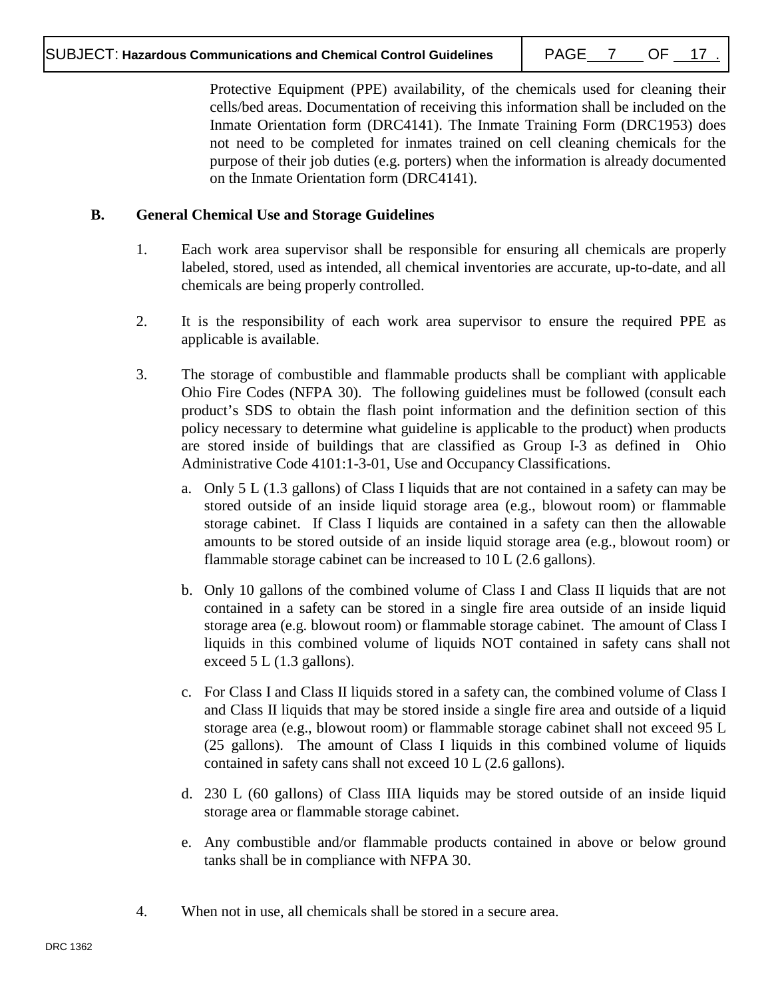Protective Equipment (PPE) availability, of the chemicals used for cleaning their cells/bed areas. Documentation of receiving this information shall be included on the Inmate Orientation form (DRC4141). The Inmate Training Form (DRC1953) does not need to be completed for inmates trained on cell cleaning chemicals for the purpose of their job duties (e.g. porters) when the information is already documented on the Inmate Orientation form (DRC4141).

# **B. General Chemical Use and Storage Guidelines**

- 1. Each work area supervisor shall be responsible for ensuring all chemicals are properly labeled, stored, used as intended, all chemical inventories are accurate, up-to-date, and all chemicals are being properly controlled.
- 2. It is the responsibility of each work area supervisor to ensure the required PPE as applicable is available.
- 3. The storage of combustible and flammable products shall be compliant with applicable Ohio Fire Codes (NFPA 30). The following guidelines must be followed (consult each product's SDS to obtain the flash point information and the definition section of this policy necessary to determine what guideline is applicable to the product) when products are stored inside of buildings that are classified as Group I-3 as defined in Ohio Administrative Code 4101:1-3-01, Use and Occupancy Classifications.
	- a. Only 5 L (1.3 gallons) of Class I liquids that are not contained in a safety can may be stored outside of an inside liquid storage area (e.g., blowout room) or flammable storage cabinet. If Class I liquids are contained in a safety can then the allowable amounts to be stored outside of an inside liquid storage area (e.g., blowout room) or flammable storage cabinet can be increased to 10 L (2.6 gallons).
	- b. Only 10 gallons of the combined volume of Class I and Class II liquids that are not contained in a safety can be stored in a single fire area outside of an inside liquid storage area (e.g. blowout room) or flammable storage cabinet. The amount of Class I liquids in this combined volume of liquids NOT contained in safety cans shall not exceed 5 L (1.3 gallons).
	- c. For Class I and Class II liquids stored in a safety can, the combined volume of Class I and Class II liquids that may be stored inside a single fire area and outside of a liquid storage area (e.g., blowout room) or flammable storage cabinet shall not exceed 95 L (25 gallons). The amount of Class I liquids in this combined volume of liquids contained in safety cans shall not exceed 10 L (2.6 gallons).
	- d. 230 L (60 gallons) of Class IIIA liquids may be stored outside of an inside liquid storage area or flammable storage cabinet.
	- e. Any combustible and/or flammable products contained in above or below ground tanks shall be in compliance with NFPA 30.
- 4. When not in use, all chemicals shall be stored in a secure area.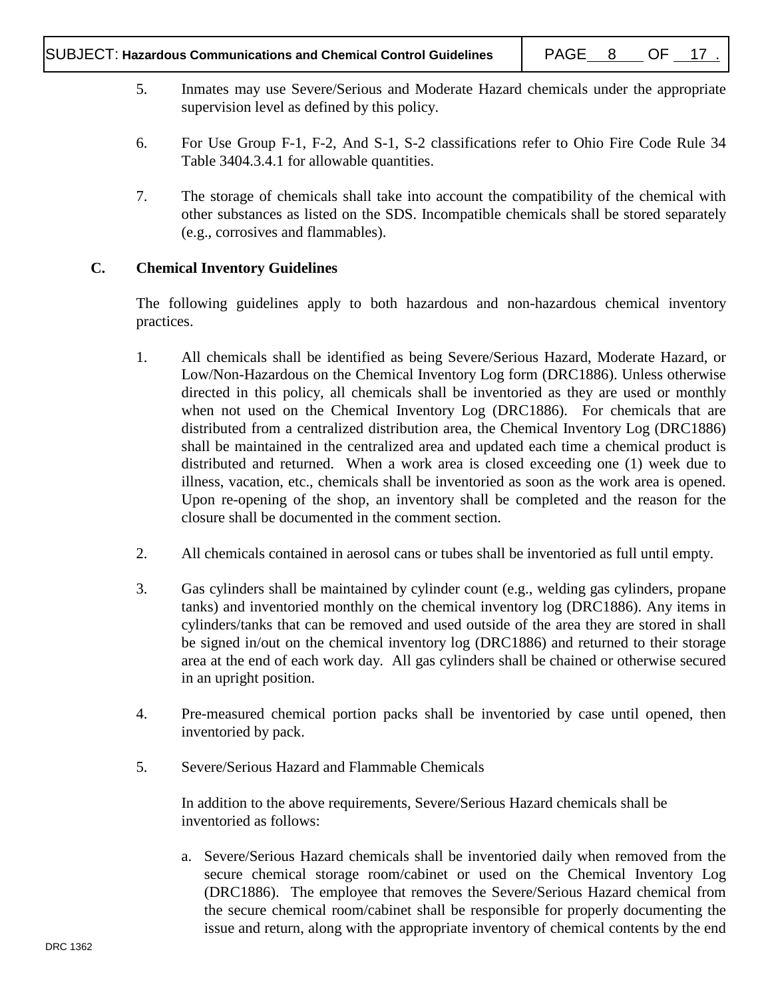- 5. Inmates may use Severe/Serious and Moderate Hazard chemicals under the appropriate supervision level as defined by this policy.
- 6. For Use Group F-1, F-2, And S-1, S-2 classifications refer to Ohio Fire Code Rule 34 Table 3404.3.4.1 for allowable quantities.
- 7. The storage of chemicals shall take into account the compatibility of the chemical with other substances as listed on the SDS. Incompatible chemicals shall be stored separately (e.g., corrosives and flammables).

# **C. Chemical Inventory Guidelines**

The following guidelines apply to both hazardous and non-hazardous chemical inventory practices.

- 1. All chemicals shall be identified as being Severe/Serious Hazard, Moderate Hazard, or Low/Non-Hazardous on the Chemical Inventory Log form (DRC1886). Unless otherwise directed in this policy, all chemicals shall be inventoried as they are used or monthly when not used on the Chemical Inventory Log (DRC1886). For chemicals that are distributed from a centralized distribution area, the Chemical Inventory Log (DRC1886) shall be maintained in the centralized area and updated each time a chemical product is distributed and returned. When a work area is closed exceeding one (1) week due to illness, vacation, etc., chemicals shall be inventoried as soon as the work area is opened. Upon re-opening of the shop, an inventory shall be completed and the reason for the closure shall be documented in the comment section.
- 2. All chemicals contained in aerosol cans or tubes shall be inventoried as full until empty.
- 3. Gas cylinders shall be maintained by cylinder count (e.g., welding gas cylinders, propane tanks) and inventoried monthly on the chemical inventory log (DRC1886). Any items in cylinders/tanks that can be removed and used outside of the area they are stored in shall be signed in/out on the chemical inventory log (DRC1886) and returned to their storage area at the end of each work day. All gas cylinders shall be chained or otherwise secured in an upright position.
- 4. Pre-measured chemical portion packs shall be inventoried by case until opened, then inventoried by pack.
- 5. Severe/Serious Hazard and Flammable Chemicals

In addition to the above requirements, Severe/Serious Hazard chemicals shall be inventoried as follows:

a. Severe/Serious Hazard chemicals shall be inventoried daily when removed from the secure chemical storage room/cabinet or used on the Chemical Inventory Log (DRC1886). The employee that removes the Severe/Serious Hazard chemical from the secure chemical room/cabinet shall be responsible for properly documenting the issue and return, along with the appropriate inventory of chemical contents by the end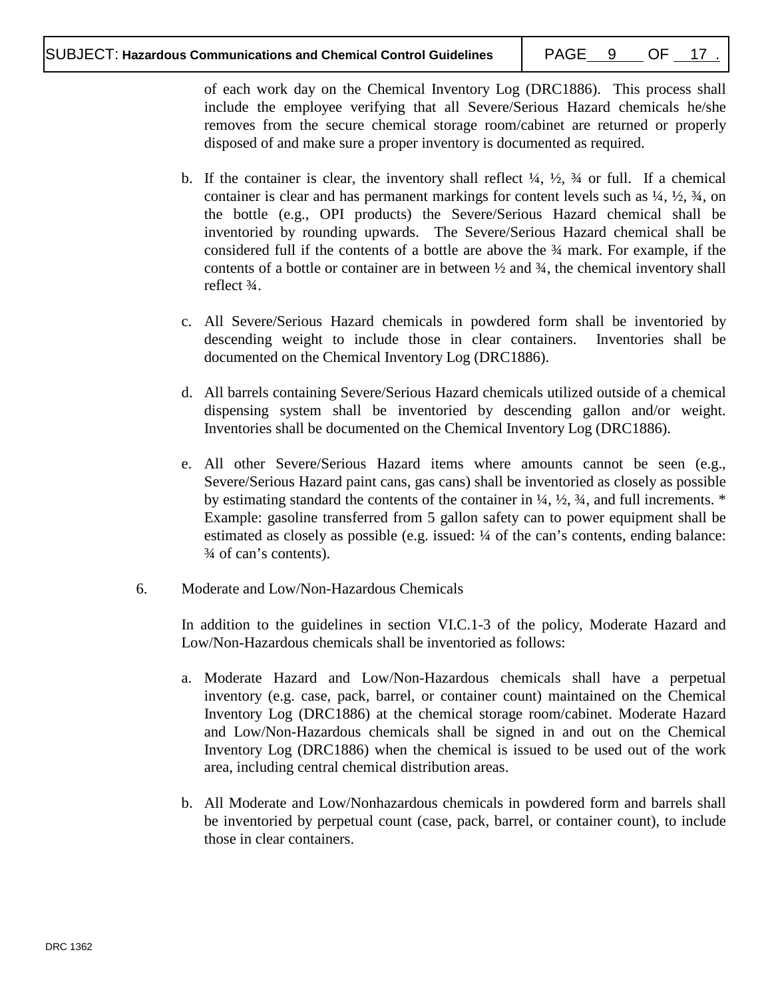of each work day on the Chemical Inventory Log (DRC1886). This process shall include the employee verifying that all Severe/Serious Hazard chemicals he/she removes from the secure chemical storage room/cabinet are returned or properly disposed of and make sure a proper inventory is documented as required.

- b. If the container is clear, the inventory shall reflect  $\frac{1}{4}$ ,  $\frac{1}{2}$ ,  $\frac{3}{4}$  or full. If a chemical container is clear and has permanent markings for content levels such as  $\frac{1}{4}$ ,  $\frac{1}{2}$ ,  $\frac{3}{4}$ , on the bottle (e.g., OPI products) the Severe/Serious Hazard chemical shall be inventoried by rounding upwards. The Severe/Serious Hazard chemical shall be considered full if the contents of a bottle are above the ¾ mark. For example, if the contents of a bottle or container are in between  $\frac{1}{2}$  and  $\frac{3}{4}$ , the chemical inventory shall reflect ¾.
- c. All Severe/Serious Hazard chemicals in powdered form shall be inventoried by descending weight to include those in clear containers. Inventories shall be documented on the Chemical Inventory Log (DRC1886).
- d. All barrels containing Severe/Serious Hazard chemicals utilized outside of a chemical dispensing system shall be inventoried by descending gallon and/or weight. Inventories shall be documented on the Chemical Inventory Log (DRC1886).
- e. All other Severe/Serious Hazard items where amounts cannot be seen (e.g., Severe/Serious Hazard paint cans, gas cans) shall be inventoried as closely as possible by estimating standard the contents of the container in  $\frac{1}{4}$ ,  $\frac{1}{2}$ ,  $\frac{3}{4}$ , and full increments. \* Example: gasoline transferred from 5 gallon safety can to power equipment shall be estimated as closely as possible (e.g. issued: ¼ of the can's contents, ending balance: ¾ of can's contents).
- 6. Moderate and Low/Non-Hazardous Chemicals

In addition to the guidelines in section VI.C.1-3 of the policy, Moderate Hazard and Low/Non-Hazardous chemicals shall be inventoried as follows:

- a. Moderate Hazard and Low/Non-Hazardous chemicals shall have a perpetual inventory (e.g. case, pack, barrel, or container count) maintained on the Chemical Inventory Log (DRC1886) at the chemical storage room/cabinet. Moderate Hazard and Low/Non-Hazardous chemicals shall be signed in and out on the Chemical Inventory Log (DRC1886) when the chemical is issued to be used out of the work area, including central chemical distribution areas.
- b. All Moderate and Low/Nonhazardous chemicals in powdered form and barrels shall be inventoried by perpetual count (case, pack, barrel, or container count), to include those in clear containers.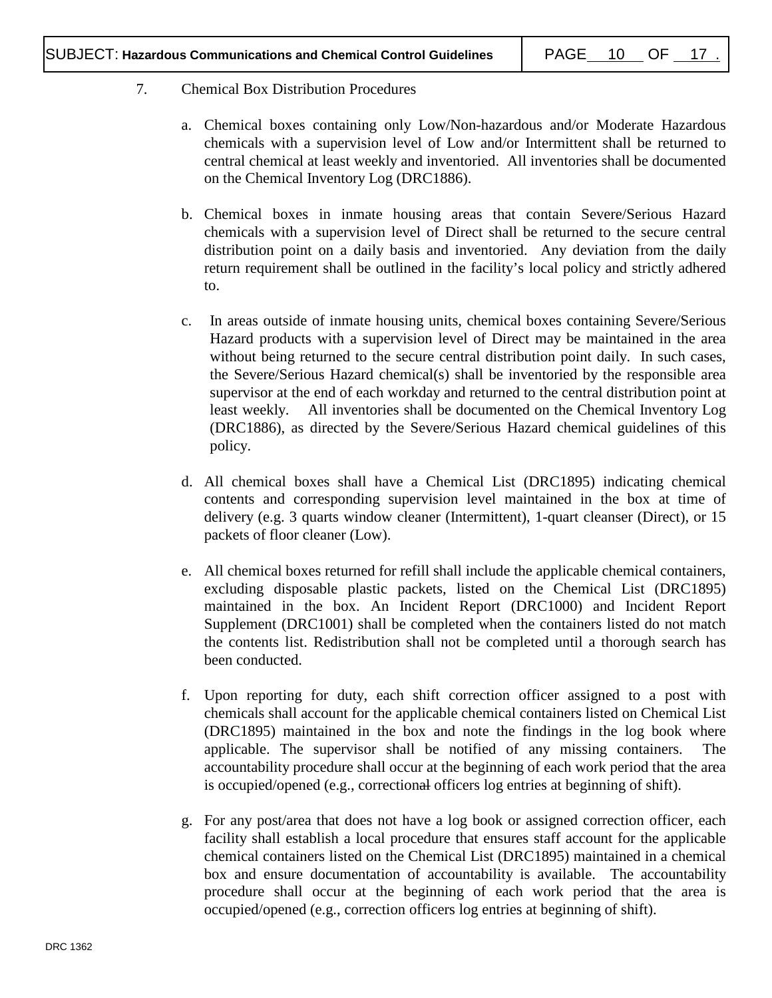# 7. Chemical Box Distribution Procedures

- a. Chemical boxes containing only Low/Non-hazardous and/or Moderate Hazardous chemicals with a supervision level of Low and/or Intermittent shall be returned to central chemical at least weekly and inventoried. All inventories shall be documented on the Chemical Inventory Log (DRC1886).
- b. Chemical boxes in inmate housing areas that contain Severe/Serious Hazard chemicals with a supervision level of Direct shall be returned to the secure central distribution point on a daily basis and inventoried. Any deviation from the daily return requirement shall be outlined in the facility's local policy and strictly adhered to.
- c. In areas outside of inmate housing units, chemical boxes containing Severe/Serious Hazard products with a supervision level of Direct may be maintained in the area without being returned to the secure central distribution point daily. In such cases, the Severe/Serious Hazard chemical(s) shall be inventoried by the responsible area supervisor at the end of each workday and returned to the central distribution point at least weekly. All inventories shall be documented on the Chemical Inventory Log (DRC1886), as directed by the Severe/Serious Hazard chemical guidelines of this policy.
- d. All chemical boxes shall have a Chemical List (DRC1895) indicating chemical contents and corresponding supervision level maintained in the box at time of delivery (e.g. 3 quarts window cleaner (Intermittent), 1-quart cleanser (Direct), or 15 packets of floor cleaner (Low).
- e. All chemical boxes returned for refill shall include the applicable chemical containers, excluding disposable plastic packets, listed on the Chemical List (DRC1895) maintained in the box. An Incident Report (DRC1000) and Incident Report Supplement (DRC1001) shall be completed when the containers listed do not match the contents list. Redistribution shall not be completed until a thorough search has been conducted.
- f. Upon reporting for duty, each shift correction officer assigned to a post with chemicals shall account for the applicable chemical containers listed on Chemical List (DRC1895) maintained in the box and note the findings in the log book where applicable. The supervisor shall be notified of any missing containers. The accountability procedure shall occur at the beginning of each work period that the area is occupied/opened (e.g., correctional officers log entries at beginning of shift).
- g. For any post/area that does not have a log book or assigned correction officer, each facility shall establish a local procedure that ensures staff account for the applicable chemical containers listed on the Chemical List (DRC1895) maintained in a chemical box and ensure documentation of accountability is available. The accountability procedure shall occur at the beginning of each work period that the area is occupied/opened (e.g., correction officers log entries at beginning of shift).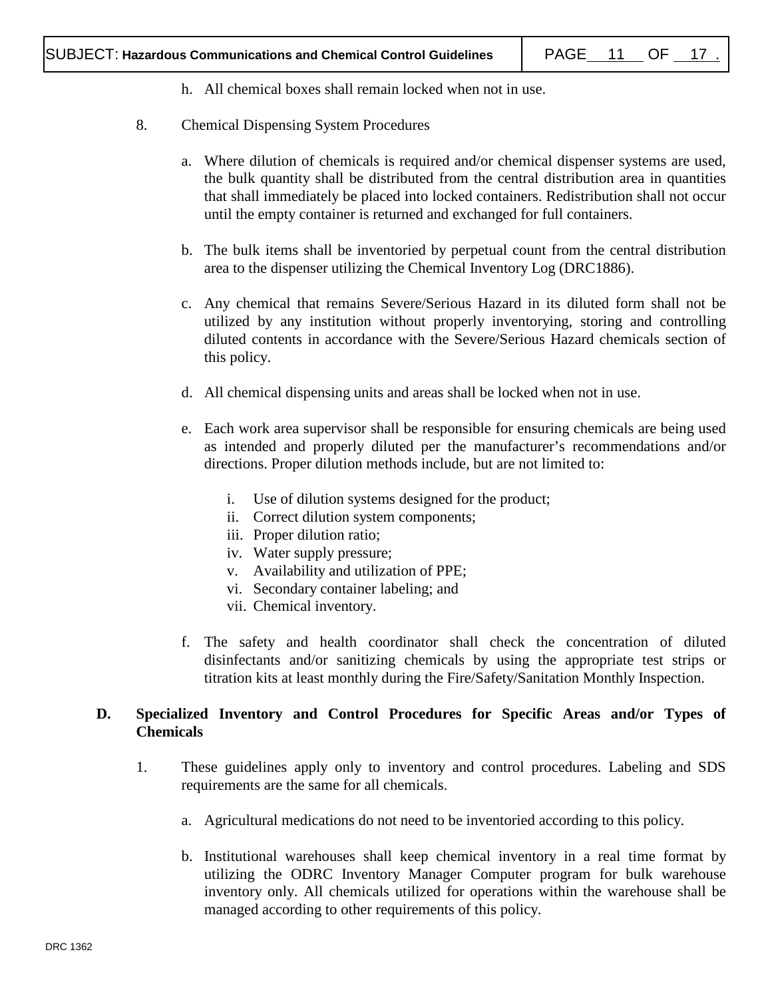- h. All chemical boxes shall remain locked when not in use.
- 8. Chemical Dispensing System Procedures
	- a. Where dilution of chemicals is required and/or chemical dispenser systems are used, the bulk quantity shall be distributed from the central distribution area in quantities that shall immediately be placed into locked containers. Redistribution shall not occur until the empty container is returned and exchanged for full containers.
	- b. The bulk items shall be inventoried by perpetual count from the central distribution area to the dispenser utilizing the Chemical Inventory Log (DRC1886).
	- c. Any chemical that remains Severe/Serious Hazard in its diluted form shall not be utilized by any institution without properly inventorying, storing and controlling diluted contents in accordance with the Severe/Serious Hazard chemicals section of this policy.
	- d. All chemical dispensing units and areas shall be locked when not in use.
	- e. Each work area supervisor shall be responsible for ensuring chemicals are being used as intended and properly diluted per the manufacturer's recommendations and/or directions. Proper dilution methods include, but are not limited to:
		- i. Use of dilution systems designed for the product;
		- ii. Correct dilution system components;
		- iii. Proper dilution ratio;
		- iv. Water supply pressure;
		- v. Availability and utilization of PPE;
		- vi. Secondary container labeling; and
		- vii. Chemical inventory.
	- f. The safety and health coordinator shall check the concentration of diluted disinfectants and/or sanitizing chemicals by using the appropriate test strips or titration kits at least monthly during the Fire/Safety/Sanitation Monthly Inspection.

# **D. Specialized Inventory and Control Procedures for Specific Areas and/or Types of Chemicals**

- 1. These guidelines apply only to inventory and control procedures. Labeling and SDS requirements are the same for all chemicals.
	- a. Agricultural medications do not need to be inventoried according to this policy.
	- b. Institutional warehouses shall keep chemical inventory in a real time format by utilizing the ODRC Inventory Manager Computer program for bulk warehouse inventory only. All chemicals utilized for operations within the warehouse shall be managed according to other requirements of this policy.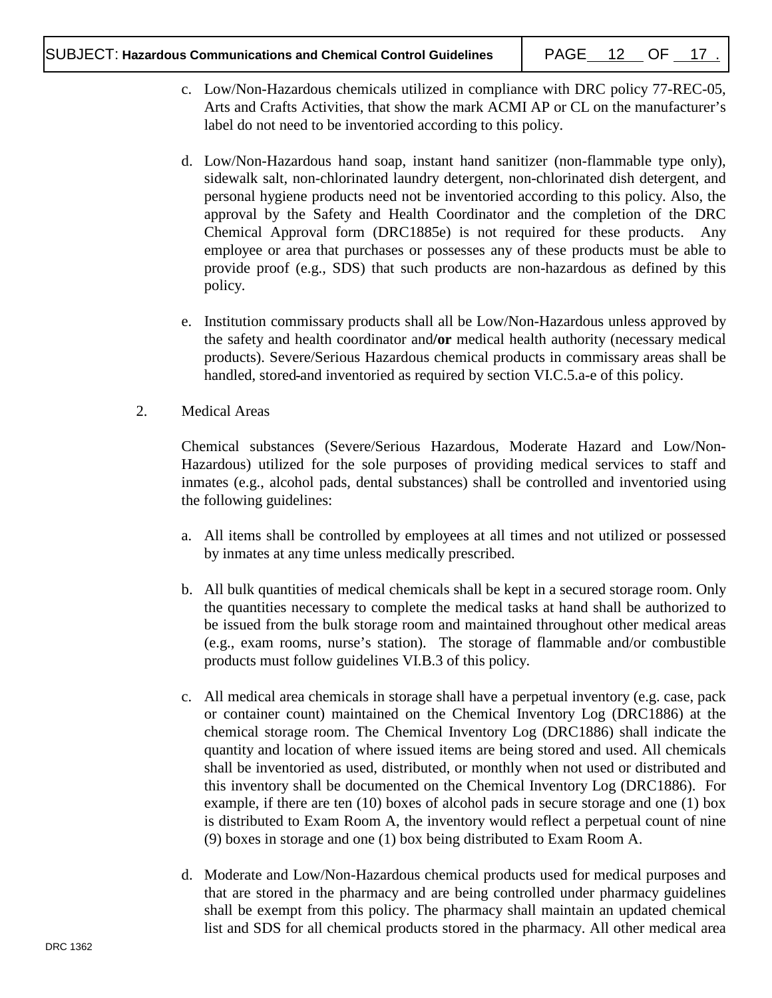- c. Low/Non-Hazardous chemicals utilized in compliance with DRC policy 77-REC-05, Arts and Crafts Activities, that show the mark ACMI AP or CL on the manufacturer's label do not need to be inventoried according to this policy.
- d. Low/Non-Hazardous hand soap, instant hand sanitizer (non-flammable type only), sidewalk salt, non-chlorinated laundry detergent, non-chlorinated dish detergent, and personal hygiene products need not be inventoried according to this policy. Also, the approval by the Safety and Health Coordinator and the completion of the DRC Chemical Approval form (DRC1885e) is not required for these products. Any employee or area that purchases or possesses any of these products must be able to provide proof (e.g., SDS) that such products are non-hazardous as defined by this policy.
- e. Institution commissary products shall all be Low/Non-Hazardous unless approved by the safety and health coordinator and**/or** medical health authority (necessary medical products). Severe/Serious Hazardous chemical products in commissary areas shall be handled, stored and inventoried as required by section VI.C.5.a-e of this policy.
- 2. Medical Areas

Chemical substances (Severe/Serious Hazardous, Moderate Hazard and Low/Non-Hazardous) utilized for the sole purposes of providing medical services to staff and inmates (e.g., alcohol pads, dental substances) shall be controlled and inventoried using the following guidelines:

- a. All items shall be controlled by employees at all times and not utilized or possessed by inmates at any time unless medically prescribed.
- b. All bulk quantities of medical chemicals shall be kept in a secured storage room. Only the quantities necessary to complete the medical tasks at hand shall be authorized to be issued from the bulk storage room and maintained throughout other medical areas (e.g., exam rooms, nurse's station). The storage of flammable and/or combustible products must follow guidelines VI.B.3 of this policy.
- c. All medical area chemicals in storage shall have a perpetual inventory (e.g. case, pack or container count) maintained on the Chemical Inventory Log (DRC1886) at the chemical storage room. The Chemical Inventory Log (DRC1886) shall indicate the quantity and location of where issued items are being stored and used. All chemicals shall be inventoried as used, distributed, or monthly when not used or distributed and this inventory shall be documented on the Chemical Inventory Log (DRC1886). For example, if there are ten (10) boxes of alcohol pads in secure storage and one (1) box is distributed to Exam Room A, the inventory would reflect a perpetual count of nine (9) boxes in storage and one (1) box being distributed to Exam Room A.
- d. Moderate and Low/Non-Hazardous chemical products used for medical purposes and that are stored in the pharmacy and are being controlled under pharmacy guidelines shall be exempt from this policy. The pharmacy shall maintain an updated chemical list and SDS for all chemical products stored in the pharmacy. All other medical area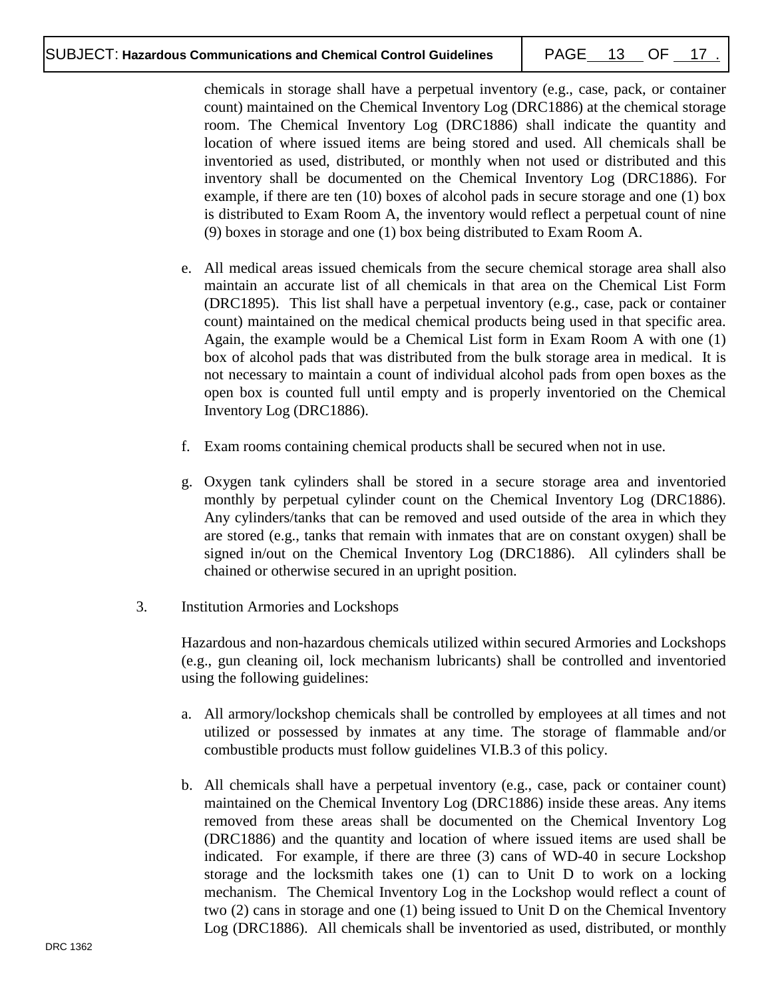chemicals in storage shall have a perpetual inventory (e.g., case, pack, or container count) maintained on the Chemical Inventory Log (DRC1886) at the chemical storage room. The Chemical Inventory Log (DRC1886) shall indicate the quantity and location of where issued items are being stored and used. All chemicals shall be inventoried as used, distributed, or monthly when not used or distributed and this inventory shall be documented on the Chemical Inventory Log (DRC1886). For example, if there are ten (10) boxes of alcohol pads in secure storage and one (1) box is distributed to Exam Room A, the inventory would reflect a perpetual count of nine (9) boxes in storage and one (1) box being distributed to Exam Room A.

- e. All medical areas issued chemicals from the secure chemical storage area shall also maintain an accurate list of all chemicals in that area on the Chemical List Form (DRC1895). This list shall have a perpetual inventory (e.g., case, pack or container count) maintained on the medical chemical products being used in that specific area. Again, the example would be a Chemical List form in Exam Room A with one (1) box of alcohol pads that was distributed from the bulk storage area in medical. It is not necessary to maintain a count of individual alcohol pads from open boxes as the open box is counted full until empty and is properly inventoried on the Chemical Inventory Log (DRC1886).
- f. Exam rooms containing chemical products shall be secured when not in use.
- g. Oxygen tank cylinders shall be stored in a secure storage area and inventoried monthly by perpetual cylinder count on the Chemical Inventory Log (DRC1886). Any cylinders/tanks that can be removed and used outside of the area in which they are stored (e.g., tanks that remain with inmates that are on constant oxygen) shall be signed in/out on the Chemical Inventory Log (DRC1886). All cylinders shall be chained or otherwise secured in an upright position.
- 3. Institution Armories and Lockshops

Hazardous and non-hazardous chemicals utilized within secured Armories and Lockshops (e.g., gun cleaning oil, lock mechanism lubricants) shall be controlled and inventoried using the following guidelines:

- a. All armory/lockshop chemicals shall be controlled by employees at all times and not utilized or possessed by inmates at any time. The storage of flammable and/or combustible products must follow guidelines VI.B.3 of this policy.
- b. All chemicals shall have a perpetual inventory (e.g., case, pack or container count) maintained on the Chemical Inventory Log (DRC1886) inside these areas. Any items removed from these areas shall be documented on the Chemical Inventory Log (DRC1886) and the quantity and location of where issued items are used shall be indicated. For example, if there are three (3) cans of WD-40 in secure Lockshop storage and the locksmith takes one (1) can to Unit D to work on a locking mechanism. The Chemical Inventory Log in the Lockshop would reflect a count of two (2) cans in storage and one (1) being issued to Unit D on the Chemical Inventory Log (DRC1886). All chemicals shall be inventoried as used, distributed, or monthly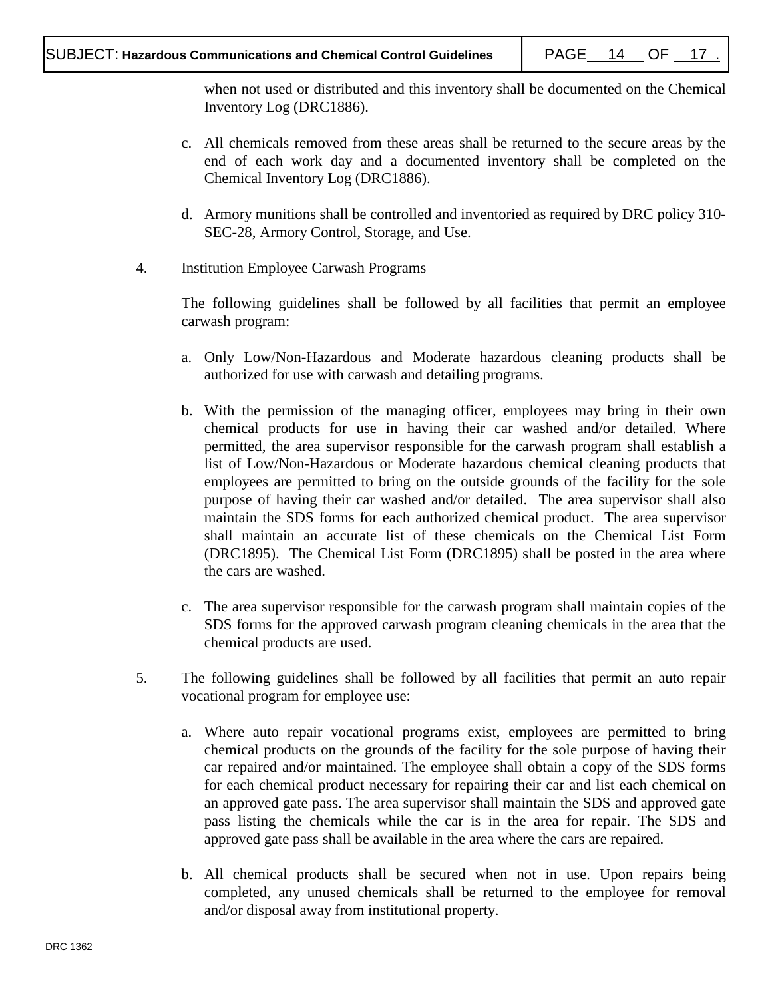when not used or distributed and this inventory shall be documented on the Chemical Inventory Log (DRC1886).

- c. All chemicals removed from these areas shall be returned to the secure areas by the end of each work day and a documented inventory shall be completed on the Chemical Inventory Log (DRC1886).
- d. Armory munitions shall be controlled and inventoried as required by DRC policy 310- SEC-28, Armory Control, Storage, and Use.
- 4. Institution Employee Carwash Programs

The following guidelines shall be followed by all facilities that permit an employee carwash program:

- a. Only Low/Non-Hazardous and Moderate hazardous cleaning products shall be authorized for use with carwash and detailing programs.
- b. With the permission of the managing officer, employees may bring in their own chemical products for use in having their car washed and/or detailed. Where permitted, the area supervisor responsible for the carwash program shall establish a list of Low/Non-Hazardous or Moderate hazardous chemical cleaning products that employees are permitted to bring on the outside grounds of the facility for the sole purpose of having their car washed and/or detailed. The area supervisor shall also maintain the SDS forms for each authorized chemical product. The area supervisor shall maintain an accurate list of these chemicals on the Chemical List Form (DRC1895). The Chemical List Form (DRC1895) shall be posted in the area where the cars are washed.
- c. The area supervisor responsible for the carwash program shall maintain copies of the SDS forms for the approved carwash program cleaning chemicals in the area that the chemical products are used.
- 5. The following guidelines shall be followed by all facilities that permit an auto repair vocational program for employee use:
	- a. Where auto repair vocational programs exist, employees are permitted to bring chemical products on the grounds of the facility for the sole purpose of having their car repaired and/or maintained. The employee shall obtain a copy of the SDS forms for each chemical product necessary for repairing their car and list each chemical on an approved gate pass. The area supervisor shall maintain the SDS and approved gate pass listing the chemicals while the car is in the area for repair. The SDS and approved gate pass shall be available in the area where the cars are repaired.
	- b. All chemical products shall be secured when not in use. Upon repairs being completed, any unused chemicals shall be returned to the employee for removal and/or disposal away from institutional property.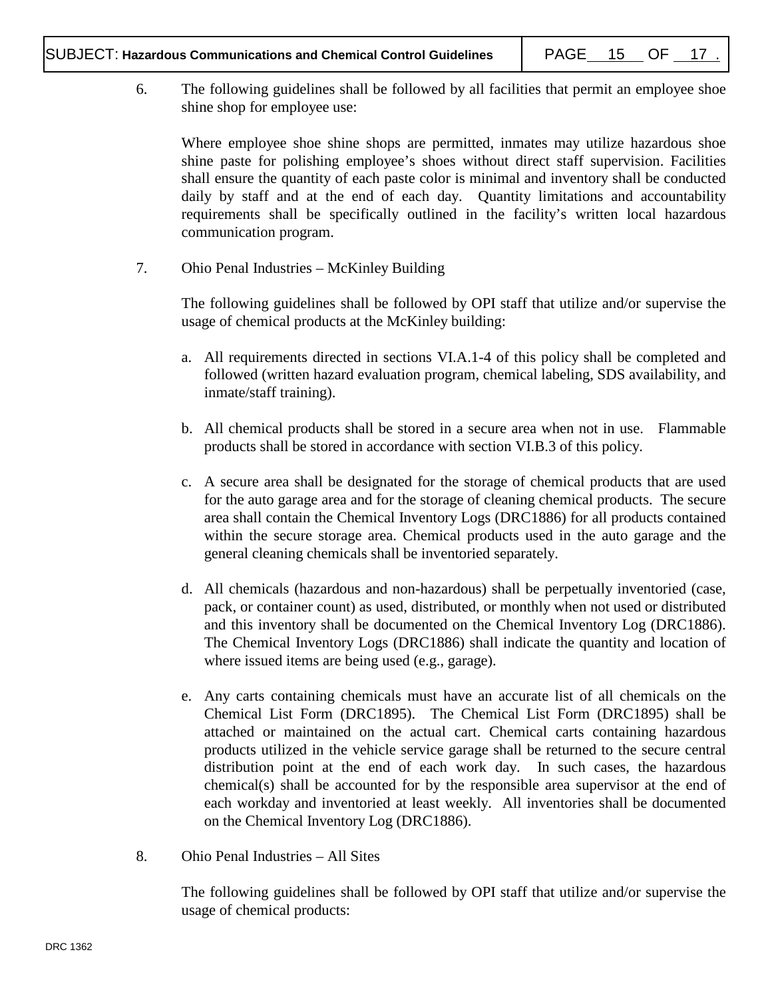6. The following guidelines shall be followed by all facilities that permit an employee shoe shine shop for employee use:

Where employee shoe shine shops are permitted, inmates may utilize hazardous shoe shine paste for polishing employee's shoes without direct staff supervision. Facilities shall ensure the quantity of each paste color is minimal and inventory shall be conducted daily by staff and at the end of each day. Quantity limitations and accountability requirements shall be specifically outlined in the facility's written local hazardous communication program.

7. Ohio Penal Industries – McKinley Building

The following guidelines shall be followed by OPI staff that utilize and/or supervise the usage of chemical products at the McKinley building:

- a. All requirements directed in sections VI.A.1-4 of this policy shall be completed and followed (written hazard evaluation program, chemical labeling, SDS availability, and inmate/staff training).
- b. All chemical products shall be stored in a secure area when not in use. Flammable products shall be stored in accordance with section VI.B.3 of this policy.
- c. A secure area shall be designated for the storage of chemical products that are used for the auto garage area and for the storage of cleaning chemical products. The secure area shall contain the Chemical Inventory Logs (DRC1886) for all products contained within the secure storage area. Chemical products used in the auto garage and the general cleaning chemicals shall be inventoried separately.
- d. All chemicals (hazardous and non-hazardous) shall be perpetually inventoried (case, pack, or container count) as used, distributed, or monthly when not used or distributed and this inventory shall be documented on the Chemical Inventory Log (DRC1886). The Chemical Inventory Logs (DRC1886) shall indicate the quantity and location of where issued items are being used (e.g., garage).
- e. Any carts containing chemicals must have an accurate list of all chemicals on the Chemical List Form (DRC1895). The Chemical List Form (DRC1895) shall be attached or maintained on the actual cart. Chemical carts containing hazardous products utilized in the vehicle service garage shall be returned to the secure central distribution point at the end of each work day. In such cases, the hazardous chemical(s) shall be accounted for by the responsible area supervisor at the end of each workday and inventoried at least weekly. All inventories shall be documented on the Chemical Inventory Log (DRC1886).
- 8. Ohio Penal Industries All Sites

The following guidelines shall be followed by OPI staff that utilize and/or supervise the usage of chemical products: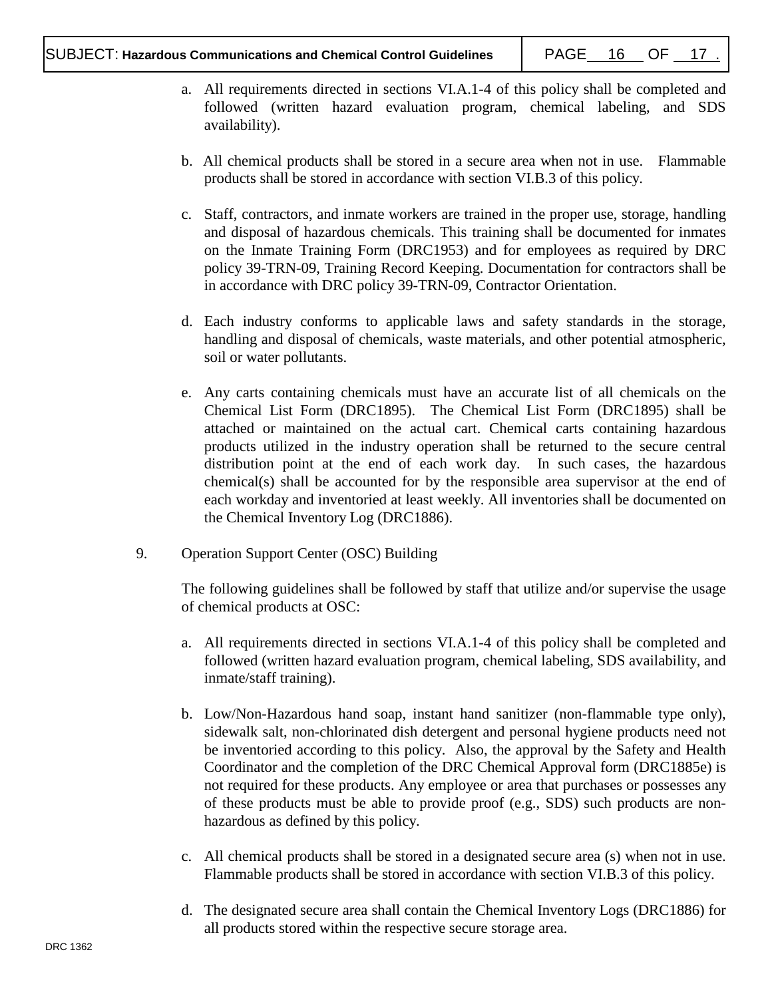- a. All requirements directed in sections VI.A.1-4 of this policy shall be completed and followed (written hazard evaluation program, chemical labeling, and SDS availability).
- b. All chemical products shall be stored in a secure area when not in use. Flammable products shall be stored in accordance with section VI.B.3 of this policy.
- c. Staff, contractors, and inmate workers are trained in the proper use, storage, handling and disposal of hazardous chemicals. This training shall be documented for inmates on the Inmate Training Form (DRC1953) and for employees as required by DRC policy 39-TRN-09, Training Record Keeping. Documentation for contractors shall be in accordance with DRC policy 39-TRN-09, Contractor Orientation.
- d. Each industry conforms to applicable laws and safety standards in the storage, handling and disposal of chemicals, waste materials, and other potential atmospheric, soil or water pollutants.
- e. Any carts containing chemicals must have an accurate list of all chemicals on the Chemical List Form (DRC1895). The Chemical List Form (DRC1895) shall be attached or maintained on the actual cart. Chemical carts containing hazardous products utilized in the industry operation shall be returned to the secure central distribution point at the end of each work day. In such cases, the hazardous chemical(s) shall be accounted for by the responsible area supervisor at the end of each workday and inventoried at least weekly. All inventories shall be documented on the Chemical Inventory Log (DRC1886).
- 9. Operation Support Center (OSC) Building

The following guidelines shall be followed by staff that utilize and/or supervise the usage of chemical products at OSC:

- a. All requirements directed in sections VI.A.1-4 of this policy shall be completed and followed (written hazard evaluation program, chemical labeling, SDS availability, and inmate/staff training).
- b. Low/Non-Hazardous hand soap, instant hand sanitizer (non-flammable type only), sidewalk salt, non-chlorinated dish detergent and personal hygiene products need not be inventoried according to this policy. Also, the approval by the Safety and Health Coordinator and the completion of the DRC Chemical Approval form (DRC1885e) is not required for these products. Any employee or area that purchases or possesses any of these products must be able to provide proof (e.g., SDS) such products are nonhazardous as defined by this policy.
- c. All chemical products shall be stored in a designated secure area (s) when not in use. Flammable products shall be stored in accordance with section VI.B.3 of this policy.
- d. The designated secure area shall contain the Chemical Inventory Logs (DRC1886) for all products stored within the respective secure storage area.